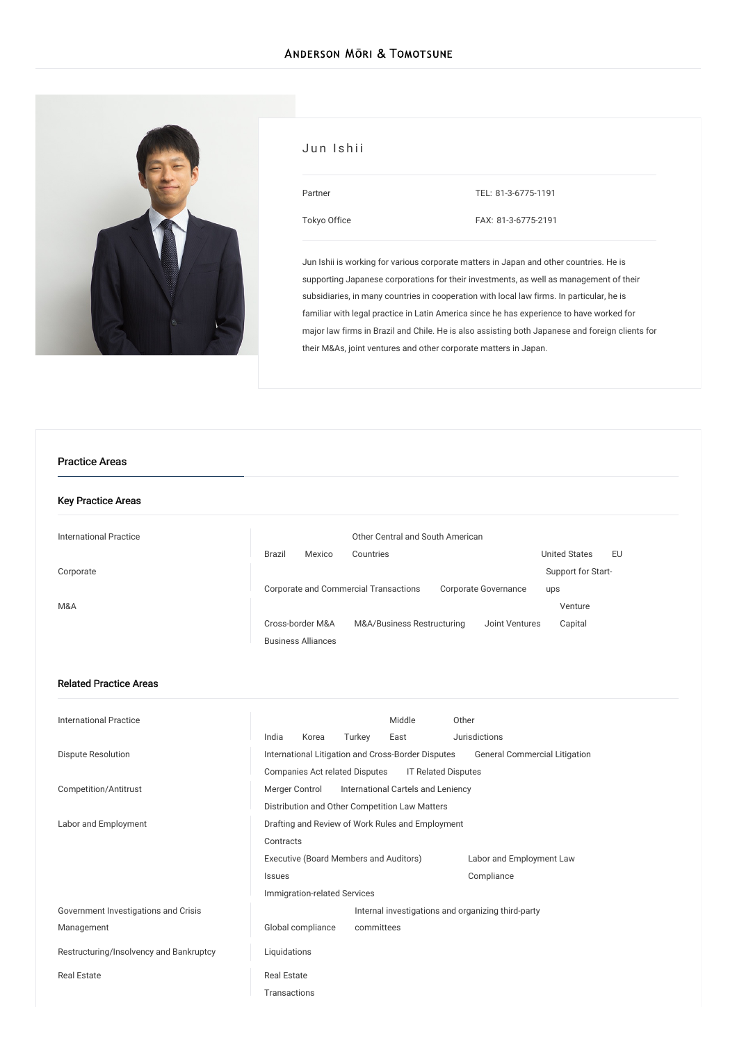

| Jun Ishii    |                     |
|--------------|---------------------|
| Partner      | TEL: 81-3-6775-1191 |
| Tokyo Office | FAX: 81-3-6775-2191 |

Jun Ishii is working for various corporate matters in Japan and other countries. He is supporting Japanese corporations for their investments, as well as management of their subsidiaries, in many countries in cooperation with local law firms. In particular, he is familiar with legal practice in Latin America since he has experience to have worked for major law firms in Brazil and Chile. He is also assisting both Japanese and foreign clients for their M&As, joint ventures and other corporate matters in Japan.

## Practice Areas

## Key Practice Areas

| International Practice |                  |                           | Other Central and South American                              |                      |    |
|------------------------|------------------|---------------------------|---------------------------------------------------------------|----------------------|----|
|                        | <b>Brazil</b>    | Mexico                    | Countries                                                     | <b>United States</b> | EU |
| Corporate              |                  |                           |                                                               | Support for Start-   |    |
|                        |                  |                           | Corporate and Commercial Transactions<br>Corporate Governance | ups                  |    |
| M&A                    |                  |                           |                                                               | Venture              |    |
|                        | Cross-border M&A |                           | M&A/Business Restructuring<br>Joint Ventures                  | Capital              |    |
|                        |                  | <b>Business Alliances</b> |                                                               |                      |    |

### Related Practice Areas

| International Practice                  |                                                              |                   |            | Middle                                             | Other                    |                               |  |
|-----------------------------------------|--------------------------------------------------------------|-------------------|------------|----------------------------------------------------|--------------------------|-------------------------------|--|
|                                         | India                                                        | Korea             | Turkey     | East                                               | Jurisdictions            |                               |  |
| <b>Dispute Resolution</b>               |                                                              |                   |            | International Litigation and Cross-Border Disputes |                          | General Commercial Litigation |  |
|                                         | Companies Act related Disputes<br><b>IT Related Disputes</b> |                   |            |                                                    |                          |                               |  |
| Competition/Antitrust                   | International Cartels and Leniency<br>Merger Control         |                   |            |                                                    |                          |                               |  |
|                                         |                                                              |                   |            | Distribution and Other Competition Law Matters     |                          |                               |  |
| Labor and Employment                    | Drafting and Review of Work Rules and Employment             |                   |            |                                                    |                          |                               |  |
|                                         | Contracts                                                    |                   |            |                                                    |                          |                               |  |
|                                         | Executive (Board Members and Auditors)                       |                   |            |                                                    | Labor and Employment Law |                               |  |
|                                         | <b>Issues</b>                                                |                   |            |                                                    | Compliance               |                               |  |
|                                         | Immigration-related Services                                 |                   |            |                                                    |                          |                               |  |
| Government Investigations and Crisis    | Internal investigations and organizing third-party           |                   |            |                                                    |                          |                               |  |
| Management                              |                                                              | Global compliance | committees |                                                    |                          |                               |  |
| Restructuring/Insolvency and Bankruptcy | Liquidations                                                 |                   |            |                                                    |                          |                               |  |
| <b>Real Estate</b>                      | <b>Real Estate</b>                                           |                   |            |                                                    |                          |                               |  |
|                                         | Transactions                                                 |                   |            |                                                    |                          |                               |  |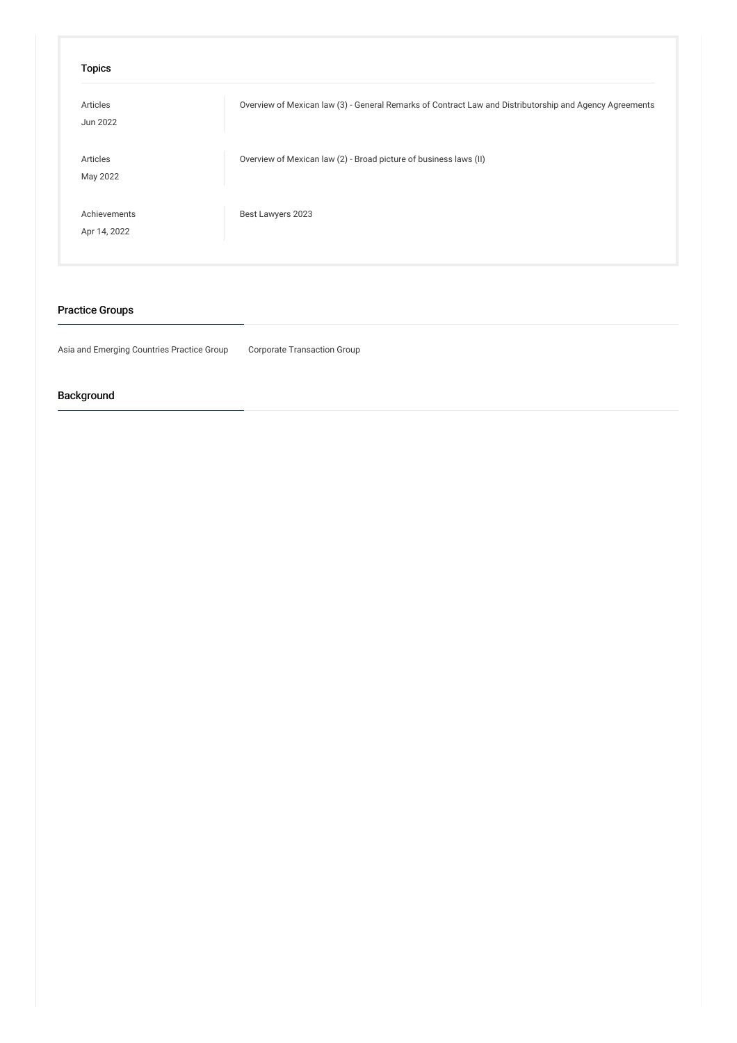| Overview of Mexican law (3) - General Remarks of Contract Law and Distributorship and Agency Agreements |
|---------------------------------------------------------------------------------------------------------|
| Overview of Mexican law (2) - Broad picture of business laws (II)                                       |
| Best Lawyers 2023                                                                                       |
|                                                                                                         |

# Practice Groups

Asia and Emerging Countries Practice Group Corporate Transaction Group

# Background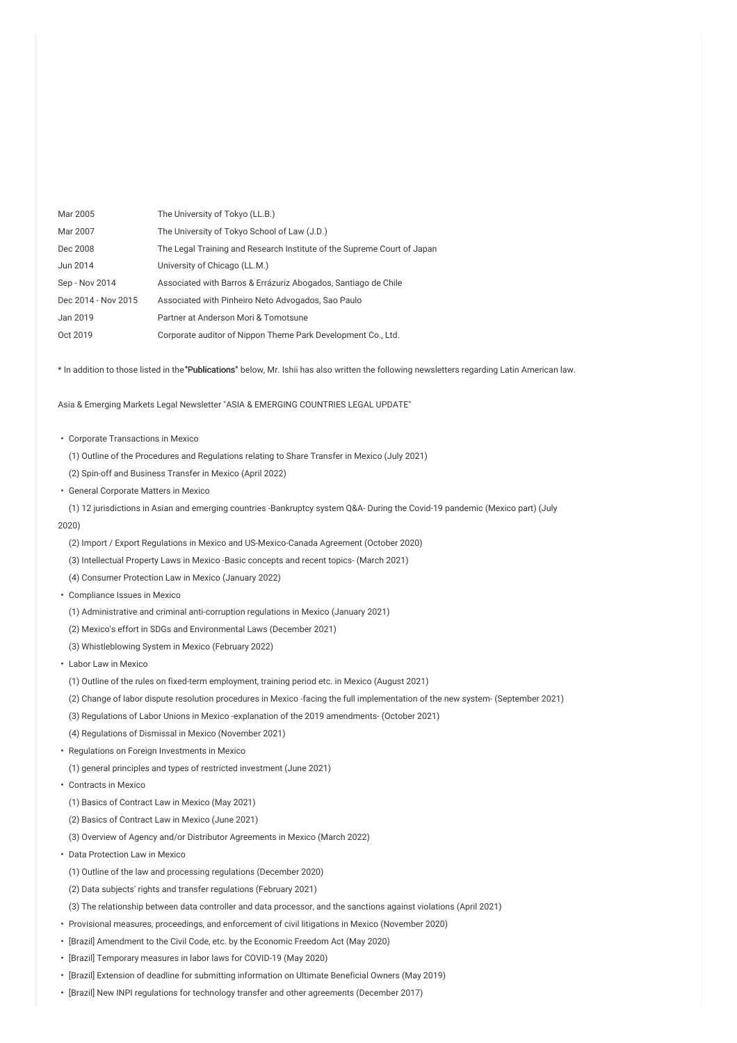| Mar 2005            | The University of Tokyo (LL.B.)                                         |
|---------------------|-------------------------------------------------------------------------|
| Mar 2007            | The University of Tokyo School of Law (J.D.)                            |
| Dec 2008            | The Legal Training and Research Institute of the Supreme Court of Japan |
| Jun 2014            | University of Chicago (LL.M.)                                           |
| Sep - Nov 2014      | Associated with Barros & Errázuriz Abogados, Santiago de Chile          |
| Dec 2014 - Nov 2015 | Associated with Pinheiro Neto Advogados, Sao Paulo                      |
| Jan 2019            | Partner at Anderson Mori & Tomotsune                                    |
| Oct 2019            | Corporate auditor of Nippon Theme Park Development Co., Ltd.            |

\* In addition to those listed in the"Publications" below, Mr. Ishii has also written the following newsletters regarding Latin American law.

Asia & Emerging Markets Legal Newsletter "ASIA & EMERGING COUNTRIES LEGAL UPDATE"

- ・ Corporate Transactions in Mexico
	- (1) Outline of the Procedures and Regulations relating to Share Transfer in Mexico (July 2021)
	- (2) Spin-off and Business Transfer in Mexico (April 2022)
- ・ General Corporate Matters in Mexico
- (1) 12 jurisdictions in Asian and emerging countries -Bankruptcy system Q&A- During the Covid-19 pandemic (Mexico part) (July
- 2020)
	- (2) Import / Export Regulations in Mexico and US-Mexico-Canada Agreement (October 2020)
	- (3) Intellectual Property Laws in Mexico -Basic concepts and recent topics- (March 2021)
	- (4) Consumer Protection Law in Mexico (January 2022)
- ・ Compliance Issues in Mexico
	- (1) Administrative and criminal anti-corruption regulations in Mexico (January 2021)
	- (2) Mexico's effort in SDGs and Environmental Laws (December 2021)
	- (3) Whistleblowing System in Mexico (February 2022)
- ・ Labor Law in Mexico
	- (1) Outline of the rules on fixed-term employment, training period etc. in Mexico (August 2021)
- (2) Change of labor dispute resolution procedures in Mexico -facing the full implementation of the new system- (September 2021)
- (3) Regulations of Labor Unions in Mexico -explanation of the 2019 amendments- (October 2021)
- (4) Regulations of Dismissal in Mexico (November 2021)
- ・ Regulations on Foreign Investments in Mexico
- (1) general principles and types of restricted investment (June 2021)
- ・ Contracts in Mexico
- (1) Basics of Contract Law in Mexico (May 2021)
- (2) Basics of Contract Law in Mexico (June 2021)
- (3) Overview of Agency and/or Distributor Agreements in Mexico (March 2022)
- ・ Data Protection Law in Mexico
	- (1) Outline of the law and processing regulations (December 2020)
	- (2) Data subjects' rights and transfer regulations (February 2021)
- (3) The relationship between data controller and data processor, and the sanctions against violations (April 2021)
- ・ Provisional measures, proceedings, and enforcement of civil litigations in Mexico (November 2020)
- ・ [Brazil] Amendment to the Civil Code, etc. by the Economic Freedom Act (May 2020)
- ・ [Brazil] Temporary measures in labor laws for COVID-19 (May 2020)
- ・ [Brazil] Extension of deadline for submitting information on Ultimate Beneficial Owners (May 2019)
- ・ [Brazil] New INPI regulations for technology transfer and other agreements (December 2017)